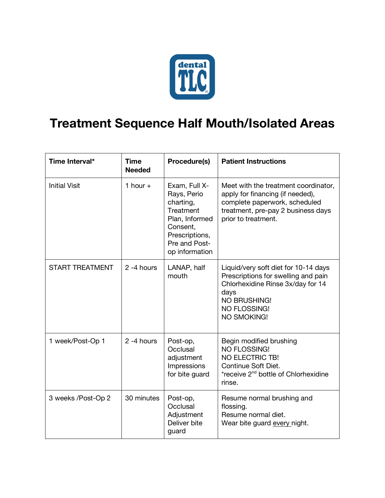

## **Treatment Sequence Half Mouth/Isolated Areas**

| Time Interval*         | <b>Time</b><br><b>Needed</b> | Procedure(s)                                                                                                                              | <b>Patient Instructions</b>                                                                                                                                                    |
|------------------------|------------------------------|-------------------------------------------------------------------------------------------------------------------------------------------|--------------------------------------------------------------------------------------------------------------------------------------------------------------------------------|
| <b>Initial Visit</b>   | 1 hour $+$                   | Exam, Full X-<br>Rays, Perio<br>charting,<br>Treatment<br>Plan, Informed<br>Consent,<br>Prescriptions,<br>Pre and Post-<br>op information | Meet with the treatment coordinator,<br>apply for financing (if needed),<br>complete paperwork, scheduled<br>treatment, pre-pay 2 business days<br>prior to treatment.         |
| <b>START TREATMENT</b> | 2 -4 hours                   | LANAP, half<br>mouth                                                                                                                      | Liquid/very soft diet for 10-14 days<br>Prescriptions for swelling and pain<br>Chlorhexidine Rinse 3x/day for 14<br>days<br>NO BRUSHING!<br>NO FLOSSING!<br><b>NO SMOKING!</b> |
| 1 week/Post-Op 1       | 2 -4 hours                   | Post-op,<br>Occlusal<br>adjustment<br>Impressions<br>for bite guard                                                                       | Begin modified brushing<br><b>NO FLOSSING!</b><br><b>NO ELECTRIC TB!</b><br>Continue Soft Diet.<br>*receive 2 <sup>nd</sup> bottle of Chlorhexidine<br>rinse.                  |
| 3 weeks /Post-Op 2     | 30 minutes                   | Post-op,<br>Occlusal<br>Adjustment<br>Deliver bite<br>guard                                                                               | Resume normal brushing and<br>flossing.<br>Resume normal diet.<br>Wear bite guard every night.                                                                                 |